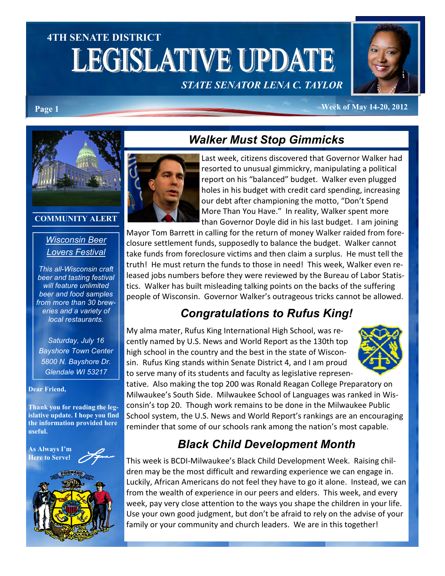# 4TH SENATE DISTRICT **LEGISLATIVE UPDATE** STATE SENATOR LENA C. TAYLOR



#### Page 1 Week of May 14-20, 2012



#### COMMUNITY ALERT

#### Wisconsin Beer Lovers Festival

This all-Wisconsin craft beer and tasting festival will feature unlimited beer and food samples from more than 30 breweries and a variety of local restaurants.

Saturday, July 16 Bayshore Town Center 5800 N. Bayshore Dr. Glendale WI 53217

#### Dear Friend,

Thank you for reading the legislative update. I hope you find the information provided here useful.





### Walker Must Stop Gimmicks

Last week, citizens discovered that Governor Walker had resorted to unusual gimmickry, manipulating a political report on his "balanced" budget. Walker even plugged holes in his budget with credit card spending, increasing our debt after championing the motto, "Don't Spend More Than You Have." In reality, Walker spent more than Governor Doyle did in his last budget. I am joining

Mayor Tom Barrett in calling for the return of money Walker raided from foreclosure settlement funds, supposedly to balance the budget. Walker cannot take funds from foreclosure victims and then claim a surplus. He must tell the truth! He must return the funds to those in need! This week, Walker even released jobs numbers before they were reviewed by the Bureau of Labor Statistics. Walker has built misleading talking points on the backs of the suffering people of Wisconsin. Governor Walker's outrageous tricks cannot be allowed.

### Congratulations to Rufus King!

My alma mater, Rufus King International High School, was recently named by U.S. News and World Report as the 130th top high school in the country and the best in the state of Wisconsin. Rufus King stands within Senate District 4, and I am proud to serve many of its students and faculty as legislative represen-



tative. Also making the top 200 was Ronald Reagan College Preparatory on Milwaukee's South Side. Milwaukee School of Languages was ranked in Wisconsin's top 20. Though work remains to be done in the Milwaukee Public School system, the U.S. News and World Report's rankings are an encouraging reminder that some of our schools rank among the nation's most capable.

## Black Child Development Month

This week is BCDI-Milwaukee's Black Child Development Week. Raising children may be the most difficult and rewarding experience we can engage in. Luckily, African Americans do not feel they have to go it alone. Instead, we can from the wealth of experience in our peers and elders. This week, and every week, pay very close attention to the ways you shape the children in your life. Use your own good judgment, but don't be afraid to rely on the advise of your family or your community and church leaders. We are in this together!